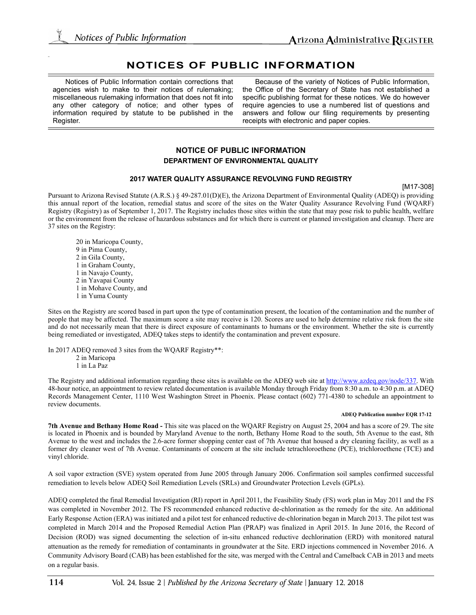# **NOTICES OF PUBLIC INFORMATION**

Notices of Public Information contain corrections that agencies wish to make to their notices of rulemaking; miscellaneous rulemaking information that does not fit into any other category of notice; and other types of information required by statute to be published in the Register.

Because of the variety of Notices of Public Information, the Office of the Secretary of State has not established a specific publishing format for these notices. We do however require agencies to use a numbered list of questions and answers and follow our filing requirements by presenting receipts with electronic and paper copies.

## **NOTICE OF PUBLIC INFORMATION DEPARTMENT OF ENVIRONMENTAL QUALITY**

### **2017 WATER QUALITY ASSURANCE REVOLVING FUND REGISTRY**

[M17-308]

Pursuant to Arizona Revised Statute (A.R.S.) § 49-287.01(D)(E), the Arizona Department of Environmental Quality (ADEQ) is providing this annual report of the location, remedial status and score of the sites on the Water Quality Assurance Revolving Fund (WQARF) Registry (Registry) as of September 1, 2017. The Registry includes those sites within the state that may pose risk to public health, welfare or the environment from the release of hazardous substances and for which there is current or planned investigation and cleanup. There are 37 sites on the Registry:

20 in Maricopa County, 9 in Pima County, 2 in Gila County, 1 in Graham County, 1 in Navajo County, 2 in Yavapai County 1 in Mohave County, and 1 in Yuma County

Sites on the Registry are scored based in part upon the type of contamination present, the location of the contamination and the number of people that may be affected. The maximum score a site may receive is 120. Scores are used to help determine relative risk from the site and do not necessarily mean that there is direct exposure of contaminants to humans or the environment. Whether the site is currently being remediated or investigated, ADEQ takes steps to identify the contamination and prevent exposure.

In 2017 ADEQ removed 3 sites from the WQARF Registry\*\*: 2 in Maricopa 1 in La Paz

The Registry and additional information regarding these sites is available on the ADEQ web site at http://www.azdeq.gov/node/337. With 48-hour notice, an appointment to review related documentation is available Monday through Friday from 8:30 a.m. to 4:30 p.m. at ADEQ Records Management Center, 1110 West Washington Street in Phoenix. Please contact (602) 771-4380 to schedule an appointment to review documents.

#### **ADEQ Publication number EQR 17-12**

**7th Avenue and Bethany Home Road -** This site was placed on the WQARF Registry on August 25, 2004 and has a score of 29. The site is located in Phoenix and is bounded by Maryland Avenue to the north, Bethany Home Road to the south, 5th Avenue to the east, 8th Avenue to the west and includes the 2.6-acre former shopping center east of 7th Avenue that housed a dry cleaning facility, as well as a former dry cleaner west of 7th Avenue. Contaminants of concern at the site include tetrachloroethene (PCE), trichloroethene (TCE) and vinyl chloride.

A soil vapor extraction (SVE) system operated from June 2005 through January 2006. Confirmation soil samples confirmed successful remediation to levels below ADEQ Soil Remediation Levels (SRLs) and Groundwater Protection Levels (GPLs).

ADEQ completed the final Remedial Investigation (RI) report in April 2011, the Feasibility Study (FS) work plan in May 2011 and the FS was completed in November 2012. The FS recommended enhanced reductive de-chlorination as the remedy for the site. An additional Early Response Action (ERA) was initiated and a pilot test for enhanced reductive de-chlorination began in March 2013. The pilot test was completed in March 2014 and the Proposed Remedial Action Plan (PRAP) was finalized in April 2015. In June 2016, the Record of Decision (ROD) was signed documenting the selection of in-situ enhanced reductive dechlorination (ERD) with monitored natural attenuation as the remedy for remediation of contaminants in groundwater at the Site. ERD injections commenced in November 2016. A Community Advisory Board (CAB) has been established for the site, was merged with the Central and Camelback CAB in 2013 and meets on a regular basis.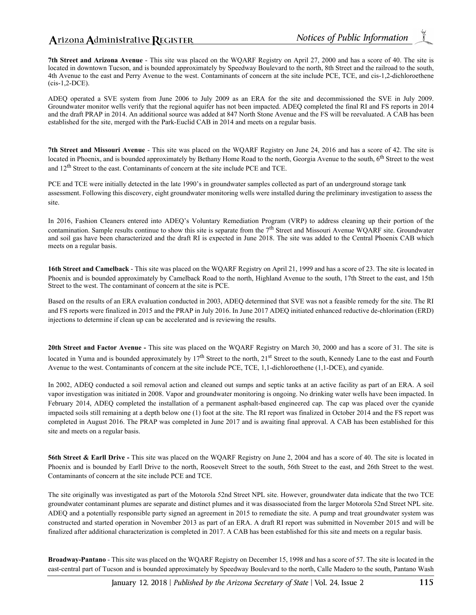**7th Street and Arizona Avenue** - This site was placed on the WQARF Registry on April 27, 2000 and has a score of 40. The site is located in downtown Tucson, and is bounded approximately by Speedway Boulevard to the north, 8th Street and the railroad to the south, 4th Avenue to the east and Perry Avenue to the west. Contaminants of concern at the site include PCE, TCE, and cis-1,2-dichloroethene (cis-1,2-DCE).

ADEQ operated a SVE system from June 2006 to July 2009 as an ERA for the site and decommissioned the SVE in July 2009. Groundwater monitor wells verify that the regional aquifer has not been impacted. ADEQ completed the final RI and FS reports in 2014 and the draft PRAP in 2014. An additional source was added at 847 North Stone Avenue and the FS will be reevaluated. A CAB has been established for the site, merged with the Park-Euclid CAB in 2014 and meets on a regular basis.

**7th Street and Missouri Avenue** - This site was placed on the WQARF Registry on June 24, 2016 and has a score of 42. The site is located in Phoenix, and is bounded approximately by Bethany Home Road to the north, Georgia Avenue to the south, 6<sup>th</sup> Street to the west and 12th Street to the east. Contaminants of concern at the site include PCE and TCE.

PCE and TCE were initially detected in the late 1990's in groundwater samples collected as part of an underground storage tank assessment. Following this discovery, eight groundwater monitoring wells were installed during the preliminary investigation to assess the site.

In 2016, Fashion Cleaners entered into ADEQ's Voluntary Remediation Program (VRP) to address cleaning up their portion of the contamination. Sample results continue to show this site is separate from the  $7<sup>th</sup>$  Street and Missouri Avenue WOARF site. Groundwater and soil gas have been characterized and the draft RI is expected in June 2018. The site was added to the Central Phoenix CAB which meets on a regular basis.

**16th Street and Camelback** - This site was placed on the WQARF Registry on April 21, 1999 and has a score of 23. The site is located in Phoenix and is bounded approximately by Camelback Road to the north, Highland Avenue to the south, 17th Street to the east, and 15th Street to the west. The contaminant of concern at the site is PCE.

Based on the results of an ERA evaluation conducted in 2003, ADEQ determined that SVE was not a feasible remedy for the site. The RI and FS reports were finalized in 2015 and the PRAP in July 2016. In June 2017 ADEQ initiated enhanced reductive de-chlorination (ERD) injections to determine if clean up can be accelerated and is reviewing the results.

**20th Street and Factor Avenue -** This site was placed on the WQARF Registry on March 30, 2000 and has a score of 31. The site is located in Yuma and is bounded approximately by 17<sup>th</sup> Street to the north, 21<sup>st</sup> Street to the south, Kennedy Lane to the east and Fourth Avenue to the west. Contaminants of concern at the site include PCE, TCE, 1,1-dichloroethene (1,1-DCE), and cyanide.

In 2002, ADEQ conducted a soil removal action and cleaned out sumps and septic tanks at an active facility as part of an ERA. A soil vapor investigation was initiated in 2008. Vapor and groundwater monitoring is ongoing. No drinking water wells have been impacted. In February 2014, ADEQ completed the installation of a permanent asphalt-based engineered cap. The cap was placed over the cyanide impacted soils still remaining at a depth below one (1) foot at the site. The RI report was finalized in October 2014 and the FS report was completed in August 2016. The PRAP was completed in June 2017 and is awaiting final approval. A CAB has been established for this site and meets on a regular basis.

**56th Street & Earll Drive -** This site was placed on the WQARF Registry on June 2, 2004 and has a score of 40. The site is located in Phoenix and is bounded by Earll Drive to the north, Roosevelt Street to the south, 56th Street to the east, and 26th Street to the west. Contaminants of concern at the site include PCE and TCE.

The site originally was investigated as part of the Motorola 52nd Street NPL site. However, groundwater data indicate that the two TCE groundwater contaminant plumes are separate and distinct plumes and it was disassociated from the larger Motorola 52nd Street NPL site. ADEQ and a potentially responsible party signed an agreement in 2015 to remediate the site. A pump and treat groundwater system was constructed and started operation in November 2013 as part of an ERA. A draft RI report was submitted in November 2015 and will be finalized after additional characterization is completed in 2017. A CAB has been established for this site and meets on a regular basis.

**Broadway-Pantano** - This site was placed on the WQARF Registry on December 15, 1998 and has a score of 57. The site is located in the east-central part of Tucson and is bounded approximately by Speedway Boulevard to the north, Calle Madero to the south, Pantano Wash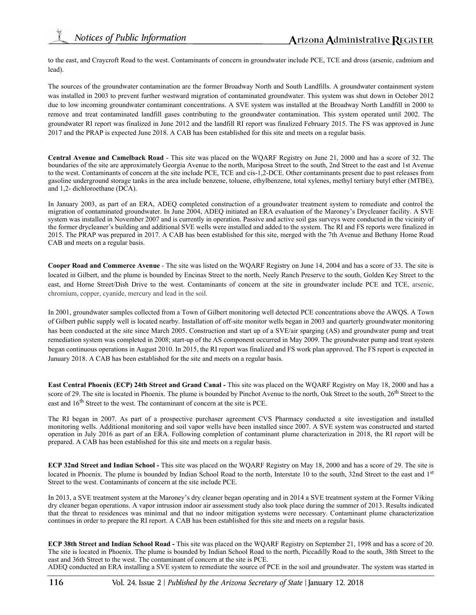to the east, and Craycroft Road to the west. Contaminants of concern in groundwater include PCE, TCE and dross (arsenic, cadmium and lead).

The sources of the groundwater contamination are the former Broadway North and South Landfills. A groundwater containment system was installed in 2003 to prevent further westward migration of contaminated groundwater. This system was shut down in October 2012 due to low incoming groundwater contaminant concentrations. A SVE system was installed at the Broadway North Landfill in 2000 to remove and treat contaminated landfill gases contributing to the groundwater contamination. This system operated until 2002. The groundwater RI report was finalized in June 2012 and the landfill RI report was finalized February 2015. The FS was approved in June 2017 and the PRAP is expected June 2018. A CAB has been established for this site and meets on a regular basis.

**Central Avenue and Camelback Road** - This site was placed on the WQARF Registry on June 21, 2000 and has a score of 32. The boundaries of the site are approximately Georgia Avenue to the north, Mariposa Street to the south, 2nd Street to the east and 1st Avenue to the west. Contaminants of concern at the site include PCE, TCE and cis-1,2-DCE. Other contaminants present due to past releases from gasoline underground storage tanks in the area include benzene, toluene, ethylbenzene, total xylenes, methyl tertiary butyl ether (MTBE), and 1,2- dichloroethane (DCA).

In January 2003, as part of an ERA, ADEQ completed construction of a groundwater treatment system to remediate and control the migration of contaminated groundwater. In June 2004, ADEQ initiated an ERA evaluation of the Maroney's Drycleaner facility. A SVE system was installed in November 2007 and is currently in operation. Passive and active soil gas surveys were conducted in the vicinity of the former drycleaner's building and additional SVE wells were installed and added to the system. The RI and FS reports were finalized in 2015. The PRAP was prepared in 2017. A CAB has been established for this site, merged with the 7th Avenue and Bethany Home Road CAB and meets on a regular basis.

**Cooper Road and Commerce Avenue** - The site was listed on the WQARF Registry on June 14, 2004 and has a score of 33. The site is located in Gilbert, and the plume is bounded by Encinas Street to the north, Neely Ranch Preserve to the south, Golden Key Street to the east, and Horne Street/Dish Drive to the west. Contaminants of concern at the site in groundwater include PCE and TCE, arsenic, chromium, copper, cyanide, mercury and lead in the soil.

In 2001, groundwater samples collected from a Town of Gilbert monitoring well detected PCE concentrations above the AWQS. A Town of Gilbert public supply well is located nearby. Installation of off-site monitor wells began in 2003 and quarterly groundwater monitoring has been conducted at the site since March 2005. Construction and start up of a SVE/air sparging (AS) and groundwater pump and treat remediation system was completed in 2008; start-up of the AS component occurred in May 2009. The groundwater pump and treat system began continuous operations in August 2010. In 2015, the RI report was finalized and FS work plan approved. The FS report is expected in January 2018. A CAB has been established for the site and meets on a regular basis.

**East Central Phoenix (ECP) 24th Street and Grand Canal -** This site was placed on the WQARF Registry on May 18, 2000 and has a score of 29. The site is located in Phoenix. The plume is bounded by Pinchot Avenue to the north, Oak Street to the south, 26<sup>th</sup> Street to the east and  $16^{th}$  Street to the west. The contaminant of concern at the site is PCE.

The RI began in 2007. As part of a prospective purchaser agreement CVS Pharmacy conducted a site investigation and installed monitoring wells. Additional monitoring and soil vapor wells have been installed since 2007. A SVE system was constructed and started operation in July 2016 as part of an ERA. Following completion of contaminant plume characterization in 2018, the RI report will be prepared. A CAB has been established for this site and meets on a regular basis.

**ECP 32nd Street and Indian School -** This site was placed on the WQARF Registry on May 18, 2000 and has a score of 29. The site is located in Phoenix. The plume is bounded by Indian School Road to the north, Interstate 10 to the south, 32nd Street to the east and 1st Street to the west. Contaminants of concern at the site include PCE.

In 2013, a SVE treatment system at the Maroney's dry cleaner began operating and in 2014 a SVE treatment system at the Former Viking dry cleaner began operations. A vapor intrusion indoor air assessment study also took place during the summer of 2013. Results indicated that the threat to residences was minimal and that no indoor mitigation systems were necessary. Contaminant plume characterization continues in order to prepare the RI report. A CAB has been established for this site and meets on a regular basis.

**ECP 38th Street and Indian School Road -** This site was placed on the WQARF Registry on September 21, 1998 and has a score of 20. The site is located in Phoenix. The plume is bounded by Indian School Road to the north, Piccadilly Road to the south, 38th Street to the east and 36th Street to the west. The contaminant of concern at the site is PCE. ADEQ conducted an ERA installing a SVE system to remediate the source of PCE in the soil and groundwater. The system was started in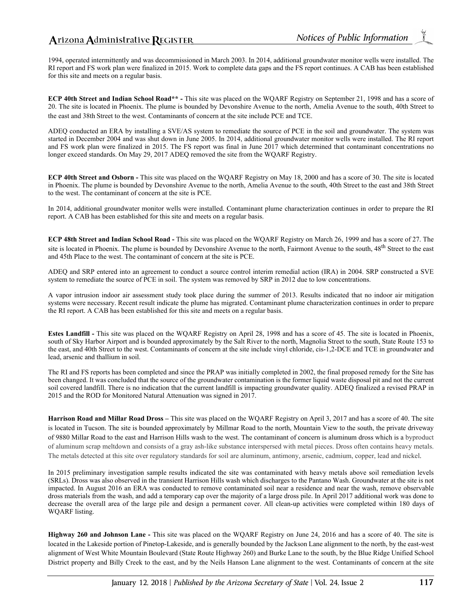1994, operated intermittently and was decommissioned in March 2003. In 2014, additional groundwater monitor wells were installed. The RI report and FS work plan were finalized in 2015. Work to complete data gaps and the FS report continues. A CAB has been established for this site and meets on a regular basis.

**ECP 40th Street and Indian School Road\*\* -** This site was placed on the WQARF Registry on September 21, 1998 and has a score of 20. The site is located in Phoenix. The plume is bounded by Devonshire Avenue to the north, Amelia Avenue to the south, 40th Street to the east and 38th Street to the west. Contaminants of concern at the site include PCE and TCE.

ADEQ conducted an ERA by installing a SVE/AS system to remediate the source of PCE in the soil and groundwater. The system was started in December 2004 and was shut down in June 2005. In 2014, additional groundwater monitor wells were installed. The RI report and FS work plan were finalized in 2015. The FS report was final in June 2017 which determined that contaminant concentrations no longer exceed standards. On May 29, 2017 ADEQ removed the site from the WQARF Registry.

**ECP 40th Street and Osborn -** This site was placed on the WQARF Registry on May 18, 2000 and has a score of 30. The site is located in Phoenix. The plume is bounded by Devonshire Avenue to the north, Amelia Avenue to the south, 40th Street to the east and 38th Street to the west. The contaminant of concern at the site is PCE.

In 2014, additional groundwater monitor wells were installed. Contaminant plume characterization continues in order to prepare the RI report. A CAB has been established for this site and meets on a regular basis.

**ECP 48th Street and Indian School Road -** This site was placed on the WQARF Registry on March 26, 1999 and has a score of 27. The site is located in Phoenix. The plume is bounded by Devonshire Avenue to the north, Fairmont Avenue to the south, 48<sup>th</sup> Street to the east and 45th Place to the west. The contaminant of concern at the site is PCE.

ADEQ and SRP entered into an agreement to conduct a source control interim remedial action (IRA) in 2004. SRP constructed a SVE system to remediate the source of PCE in soil. The system was removed by SRP in 2012 due to low concentrations.

A vapor intrusion indoor air assessment study took place during the summer of 2013. Results indicated that no indoor air mitigation systems were necessary. Recent result indicate the plume has migrated. Contaminant plume characterization continues in order to prepare the RI report. A CAB has been established for this site and meets on a regular basis.

**Estes Landfill -** This site was placed on the WQARF Registry on April 28, 1998 and has a score of 45. The site is located in Phoenix, south of Sky Harbor Airport and is bounded approximately by the Salt River to the north, Magnolia Street to the south, State Route 153 to the east, and 40th Street to the west. Contaminants of concern at the site include vinyl chloride, cis-1,2-DCE and TCE in groundwater and lead, arsenic and thallium in soil.

The RI and FS reports has been completed and since the PRAP was initially completed in 2002, the final proposed remedy for the Site has been changed. It was concluded that the source of the groundwater contamination is the former liquid waste disposal pit and not the current soil covered landfill. There is no indication that the current landfill is impacting groundwater quality. ADEQ finalized a revised PRAP in 2015 and the ROD for Monitored Natural Attenuation was signed in 2017.

**Harrison Road and Millar Road Dross –** This site was placed on the WQARF Registry on April 3, 2017 and has a score of 40. The site is located in Tucson. The site is bounded approximately by Millmar Road to the north, Mountain View to the south, the private driveway of 9880 Millar Road to the east and Harrison Hills wash to the west. The contaminant of concern is aluminum dross which is a byproduct of aluminum scrap meltdown and consists of a gray ash-like substance interspersed with metal pieces. Dross often contains heavy metals. The metals detected at this site over regulatory standards for soil are aluminum, antimony, arsenic, cadmium, copper, lead and nickel.

In 2015 preliminary investigation sample results indicated the site was contaminated with heavy metals above soil remediation levels (SRLs). Dross was also observed in the transient Harrison Hills wash which discharges to the Pantano Wash. Groundwater at the site is not impacted. In August 2016 an ERA was conducted to remove contaminated soil near a residence and near the wash, remove observable dross materials from the wash, and add a temporary cap over the majority of a large dross pile. In April 2017 additional work was done to decrease the overall area of the large pile and design a permanent cover. All clean-up activities were completed within 180 days of WQARF listing.

**Highway 260 and Johnson Lane -** This site was placed on the WQARF Registry on June 24, 2016 and has a score of 40. The site is located in the Lakeside portion of Pinetop-Lakeside, and is generally bounded by the Jackson Lane alignment to the north, by the east-west alignment of West White Mountain Boulevard (State Route Highway 260) and Burke Lane to the south, by the Blue Ridge Unified School District property and Billy Creek to the east, and by the Neils Hanson Lane alignment to the west. Contaminants of concern at the site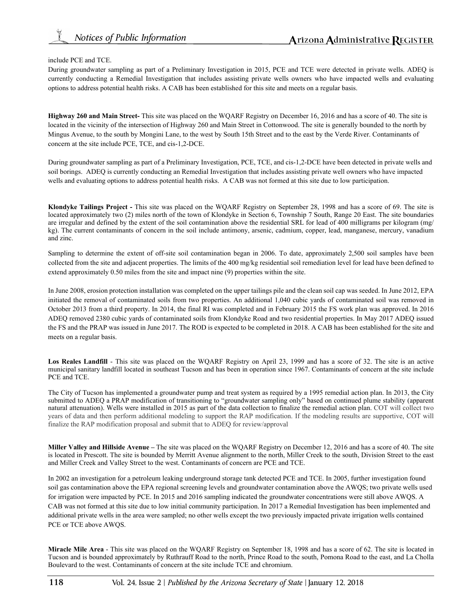### include PCE and TCE.

During groundwater sampling as part of a Preliminary Investigation in 2015, PCE and TCE were detected in private wells. ADEQ is currently conducting a Remedial Investigation that includes assisting private wells owners who have impacted wells and evaluating options to address potential health risks. A CAB has been established for this site and meets on a regular basis.

**Highway 260 and Main Street-** This site was placed on the WQARF Registry on December 16, 2016 and has a score of 40. The site is located in the vicinity of the intersection of Highway 260 and Main Street in Cottonwood. The site is generally bounded to the north by Mingus Avenue, to the south by Mongini Lane, to the west by South 15th Street and to the east by the Verde River. Contaminants of concern at the site include PCE, TCE, and cis-1,2-DCE.

During groundwater sampling as part of a Preliminary Investigation, PCE, TCE, and cis-1,2-DCE have been detected in private wells and soil borings. ADEQ is currently conducting an Remedial Investigation that includes assisting private well owners who have impacted wells and evaluating options to address potential health risks. A CAB was not formed at this site due to low participation.

**Klondyke Tailings Project -** This site was placed on the WQARF Registry on September 28, 1998 and has a score of 69. The site is located approximately two (2) miles north of the town of Klondyke in Section 6, Township 7 South, Range 20 East. The site boundaries are irregular and defined by the extent of the soil contamination above the residential SRL for lead of 400 milligrams per kilogram (mg/ kg). The current contaminants of concern in the soil include antimony, arsenic, cadmium, copper, lead, manganese, mercury, vanadium and zinc.

Sampling to determine the extent of off-site soil contamination began in 2006. To date, approximately 2,500 soil samples have been collected from the site and adjacent properties. The limits of the 400 mg/kg residential soil remediation level for lead have been defined to extend approximately 0.50 miles from the site and impact nine (9) properties within the site.

In June 2008, erosion protection installation was completed on the upper tailings pile and the clean soil cap was seeded. In June 2012, EPA initiated the removal of contaminated soils from two properties. An additional 1,040 cubic yards of contaminated soil was removed in October 2013 from a third property. In 2014, the final RI was completed and in February 2015 the FS work plan was approved. In 2016 ADEQ removed 2380 cubic yards of contaminated soils from Klondyke Road and two residential properties. In May 2017 ADEQ issued the FS and the PRAP was issued in June 2017. The ROD is expected to be completed in 2018. A CAB has been established for the site and meets on a regular basis.

Los Reales Landfill - This site was placed on the WQARF Registry on April 23, 1999 and has a score of 32. The site is an active municipal sanitary landfill located in southeast Tucson and has been in operation since 1967. Contaminants of concern at the site include PCE and TCE.

The City of Tucson has implemented a groundwater pump and treat system as required by a 1995 remedial action plan. In 2013, the City submitted to ADEQ a PRAP modification of transitioning to "groundwater sampling only" based on continued plume stability (apparent natural attenuation). Wells were installed in 2015 as part of the data collection to finalize the remedial action plan. COT will collect two years of data and then perform additional modeling to support the RAP modification. If the modeling results are supportive, COT will finalize the RAP modification proposal and submit that to ADEQ for review/approval

**Miller Valley and Hillside Avenue –** The site was placed on the WQARF Registry on December 12, 2016 and has a score of 40. The site is located in Prescott. The site is bounded by Merritt Avenue alignment to the north, Miller Creek to the south, Division Street to the east and Miller Creek and Valley Street to the west. Contaminants of concern are PCE and TCE.

In 2002 an investigation for a petroleum leaking underground storage tank detected PCE and TCE. In 2005, further investigation found soil gas contamination above the EPA regional screening levels and groundwater contamination above the AWQS; two private wells used for irrigation were impacted by PCE. In 2015 and 2016 sampling indicated the groundwater concentrations were still above AWQS. A CAB was not formed at this site due to low initial community participation. In 2017 a Remedial Investigation has been implemented and additional private wells in the area were sampled; no other wells except the two previously impacted private irrigation wells contained PCE or TCE above AWQS.

**Miracle Mile Area** - This site was placed on the WQARF Registry on September 18, 1998 and has a score of 62. The site is located in Tucson and is bounded approximately by Ruthrauff Road to the north, Prince Road to the south, Pomona Road to the east, and La Cholla Boulevard to the west. Contaminants of concern at the site include TCE and chromium.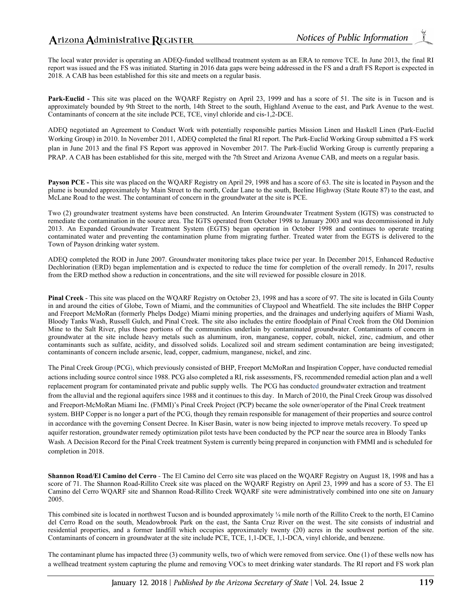The local water provider is operating an ADEQ-funded wellhead treatment system as an ERA to remove TCE. In June 2013, the final RI report was issued and the FS was initiated. Starting in 2016 data gaps were being addressed in the FS and a draft FS Report is expected in 2018. A CAB has been established for this site and meets on a regular basis.

**Park-Euclid -** This site was placed on the WQARF Registry on April 23, 1999 and has a score of 51. The site is in Tucson and is approximately bounded by 9th Street to the north, 14th Street to the south, Highland Avenue to the east, and Park Avenue to the west. Contaminants of concern at the site include PCE, TCE, vinyl chloride and cis-1,2-DCE.

ADEQ negotiated an Agreement to Conduct Work with potentially responsible parties Mission Linen and Haskell Linen (Park-Euclid Working Group) in 2010. In November 2011, ADEQ completed the final RI report. The Park-Euclid Working Group submitted a FS work plan in June 2013 and the final FS Report was approved in November 2017. The Park-Euclid Working Group is currently preparing a PRAP. A CAB has been established for this site, merged with the 7th Street and Arizona Avenue CAB, and meets on a regular basis.

**Payson PCE -** This site was placed on the WQARF Registry on April 29, 1998 and has a score of 63. The site is located in Payson and the plume is bounded approximately by Main Street to the north, Cedar Lane to the south, Beeline Highway (State Route 87) to the east, and McLane Road to the west. The contaminant of concern in the groundwater at the site is PCE.

Two (2) groundwater treatment systems have been constructed. An Interim Groundwater Treatment System (IGTS) was constructed to remediate the contamination in the source area. The IGTS operated from October 1998 to January 2003 and was decommissioned in July 2013. An Expanded Groundwater Treatment System (EGTS) began operation in October 1998 and continues to operate treating contaminated water and preventing the contamination plume from migrating further. Treated water from the EGTS is delivered to the Town of Payson drinking water system.

ADEQ completed the ROD in June 2007. Groundwater monitoring takes place twice per year. In December 2015, Enhanced Reductive Dechlorination (ERD) began implementation and is expected to reduce the time for completion of the overall remedy. In 2017, results from the ERD method show a reduction in concentrations, and the site will reviewed for possible closure in 2018.

**Pinal Creek** - This site was placed on the WQARF Registry on October 23, 1998 and has a score of 97. The site is located in Gila County in and around the cities of Globe, Town of Miami, and the communities of Claypool and Wheatfield. The site includes the BHP Copper and Freeport McMoRan (formerly Phelps Dodge) Miami mining properties, and the drainages and underlying aquifers of Miami Wash, Bloody Tanks Wash, Russell Gulch, and Pinal Creek. The site also includes the entire floodplain of Pinal Creek from the Old Dominion Mine to the Salt River, plus those portions of the communities underlain by contaminated groundwater. Contaminants of concern in groundwater at the site include heavy metals such as aluminum, iron, manganese, copper, cobalt, nickel, zinc, cadmium, and other contaminants such as sulfate, acidity, and dissolved solids. Localized soil and stream sediment contamination are being investigated; contaminants of concern include arsenic, lead, copper, cadmium, manganese, nickel, and zinc.

The Pinal Creek Group (PCG), which previously consisted of BHP, Freeport McMoRan and Inspiration Copper, have conducted remedial actions including source control since 1988. PCG also completed a RI, risk assessments, FS, recommended remedial action plan and a well replacement program for contaminated private and public supply wells. The PCG has conducted groundwater extraction and treatment from the alluvial and the regional aquifers since 1988 and it continues to this day. In March of 2010, the Pinal Creek Group was dissolved and Freeport-McMoRan Miami Inc. (FMMI)'s Pinal Creek Project (PCP) became the sole owner/operator of the Pinal Creek treatment system. BHP Copper is no longer a part of the PCG, though they remain responsible for management of their properties and source control in accordance with the governing Consent Decree. In Kiser Basin, water is now being injected to improve metals recovery. To speed up aquifer restoration, groundwater remedy optimization pilot tests have been conducted by the PCP near the source area in Bloody Tanks Wash. A Decision Record for the Pinal Creek treatment System is currently being prepared in conjunction with FMMI and is scheduled for completion in 2018.

**Shannon Road/El Camino del Cerro** *-* The El Camino del Cerro site was placed on the WQARF Registry on August 18, 1998 and has a score of 71. The Shannon Road-Rillito Creek site was placed on the WQARF Registry on April 23, 1999 and has a score of 53. The El Camino del Cerro WQARF site and Shannon Road-Rillito Creek WQARF site were administratively combined into one site on January 2005.

This combined site is located in northwest Tucson and is bounded approximately ¼ mile north of the Rillito Creek to the north, El Camino del Cerro Road on the south, Meadowbrook Park on the east, the Santa Cruz River on the west. The site consists of industrial and residential properties, and a former landfill which occupies approximately twenty (20) acres in the southwest portion of the site. Contaminants of concern in groundwater at the site include PCE, TCE, 1,1-DCE, 1,1-DCA, vinyl chloride, and benzene.

The contaminant plume has impacted three (3) community wells, two of which were removed from service. One (1) of these wells now has a wellhead treatment system capturing the plume and removing VOCs to meet drinking water standards. The RI report and FS work plan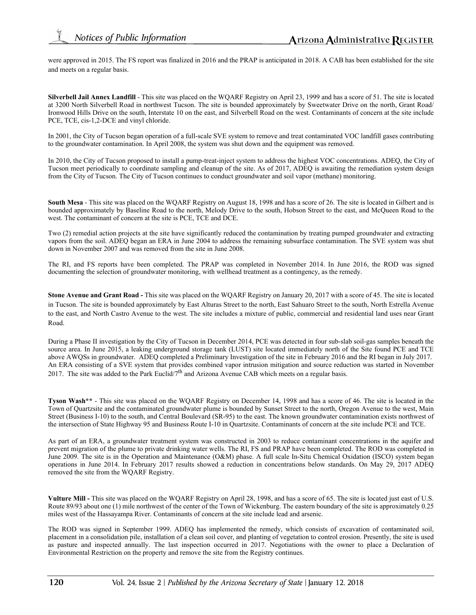were approved in 2015. The FS report was finalized in 2016 and the PRAP is anticipated in 2018. A CAB has been established for the site and meets on a regular basis.

**Silverbell Jail Annex Landfill** - This site was placed on the WQARF Registry on April 23, 1999 and has a score of 51. The site is located at 3200 North Silverbell Road in northwest Tucson. The site is bounded approximately by Sweetwater Drive on the north, Grant Road/ Ironwood Hills Drive on the south, Interstate 10 on the east, and Silverbell Road on the west. Contaminants of concern at the site include PCE, TCE, cis-1,2-DCE and vinyl chloride.

In 2001, the City of Tucson began operation of a full-scale SVE system to remove and treat contaminated VOC landfill gases contributing to the groundwater contamination. In April 2008, the system was shut down and the equipment was removed.

In 2010, the City of Tucson proposed to install a pump-treat-inject system to address the highest VOC concentrations. ADEQ, the City of Tucson meet periodically to coordinate sampling and cleanup of the site. As of 2017, ADEQ is awaiting the remediation system design from the City of Tucson. The City of Tucson continues to conduct groundwater and soil vapor (methane) monitoring.

**South Mesa** - This site was placed on the WQARF Registry on August 18, 1998 and has a score of 26. The site is located in Gilbert and is bounded approximately by Baseline Road to the north, Melody Drive to the south, Hobson Street to the east, and McQueen Road to the west. The contaminant of concern at the site is PCE, TCE and DCE.

Two (2) remedial action projects at the site have significantly reduced the contamination by treating pumped groundwater and extracting vapors from the soil. ADEQ began an ERA in June 2004 to address the remaining subsurface contamination. The SVE system was shut down in November 2007 and was removed from the site in June 2008.

The RI, and FS reports have been completed. The PRAP was completed in November 2014. In June 2016, the ROD was signed documenting the selection of groundwater monitoring, with wellhead treatment as a contingency, as the remedy.

**Stone Avenue and Grant Road -** This site was placed on the WQARF Registry on January 20, 2017 with a score of 45. The site is located in Tucson. The site is bounded approximately by East Alturas Street to the north, East Sahuaro Street to the south, North Estrella Avenue to the east, and North Castro Avenue to the west. The site includes a mixture of public, commercial and residential land uses near Grant Road.

During a Phase II investigation by the City of Tucson in December 2014, PCE was detected in four sub-slab soil-gas samples beneath the source area. In June 2015, a leaking underground storage tank (LUST) site located immediately north of the Site found PCE and TCE above AWQSs in groundwater. ADEQ completed a Preliminary Investigation of the site in February 2016 and the RI began in July 2017. An ERA consisting of a SVE system that provides combined vapor intrusion mitigation and source reduction was started in November 2017. The site was added to the Park Euclid/ $7<sup>th</sup>$  and Arizona Avenue CAB which meets on a regular basis.

**Tyson Wash\*\*** - This site was placed on the WQARF Registry on December 14, 1998 and has a score of 46. The site is located in the Town of Quartzsite and the contaminated groundwater plume is bounded by Sunset Street to the north, Oregon Avenue to the west, Main Street (Business I-10) to the south, and Central Boulevard (SR-95) to the east. The known groundwater contamination exists northwest of the intersection of State Highway 95 and Business Route I-10 in Quartzsite. Contaminants of concern at the site include PCE and TCE.

As part of an ERA, a groundwater treatment system was constructed in 2003 to reduce contaminant concentrations in the aquifer and prevent migration of the plume to private drinking water wells. The RI, FS and PRAP have been completed. The ROD was completed in June 2009. The site is in the Operation and Maintenance (O&M) phase. A full scale In-Situ Chemical Oxidation (ISCO) system began operations in June 2014. In February 2017 results showed a reduction in concentrations below standards. On May 29, 2017 ADEQ removed the site from the WQARF Registry.

**Vulture Mill -** This site was placed on the WQARF Registry on April 28, 1998, and has a score of 65. The site is located just east of U.S. Route 89/93 about one (1) mile northwest of the center of the Town of Wickenburg. The eastern boundary of the site is approximately 0.25 miles west of the Hassayampa River. Contaminants of concern at the site include lead and arsenic.

The ROD was signed in September 1999. ADEQ has implemented the remedy, which consists of excavation of contaminated soil, placement in a consolidation pile, installation of a clean soil cover, and planting of vegetation to control erosion. Presently, the site is used as pasture and inspected annually. The last inspection occurred in 2017. Negotiations with the owner to place a Declaration of Environmental Restriction on the property and remove the site from the Registry continues.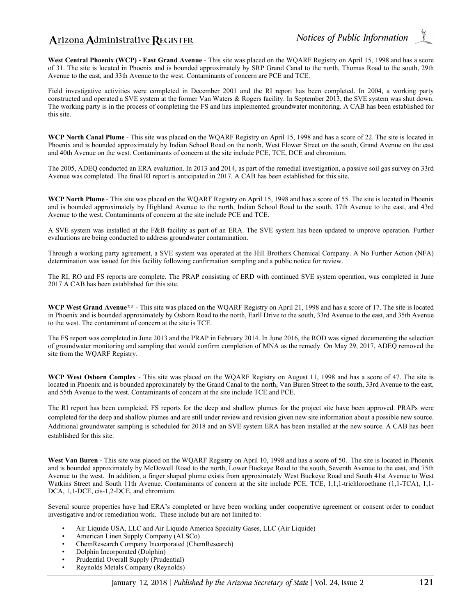## Arizona Administrative REGISTER

**West Central Phoenix (WCP) - East Grand Avenue** - This site was placed on the WQARF Registry on April 15, 1998 and has a score of 31. The site is located in Phoenix and is bounded approximately by SRP Grand Canal to the north, Thomas Road to the south, 29th Avenue to the east, and 33th Avenue to the west. Contaminants of concern are PCE and TCE.

Field investigative activities were completed in December 2001 and the RI report has been completed. In 2004, a working party constructed and operated a SVE system at the former Van Waters & Rogers facility. In September 2013, the SVE system was shut down. The working party is in the process of completing the FS and has implemented groundwater monitoring. A CAB has been established for this site.

**WCP North Canal Plume** - This site was placed on the WQARF Registry on April 15, 1998 and has a score of 22. The site is located in Phoenix and is bounded approximately by Indian School Road on the north, West Flower Street on the south, Grand Avenue on the east and 40th Avenue on the west. Contaminants of concern at the site include PCE, TCE, DCE and chromium.

The 2005, ADEQ conducted an ERA evaluation. In 2013 and 2014, as part of the remedial investigation, a passive soil gas survey on 33rd Avenue was completed. The final RI report is anticipated in 2017. A CAB has been established for this site.

**WCP North Plume** - This site was placed on the WQARF Registry on April 15, 1998 and has a score of 55. The site is located in Phoenix and is bounded approximately by Highland Avenue to the north, Indian School Road to the south, 37th Avenue to the east, and 43rd Avenue to the west. Contaminants of concern at the site include PCE and TCE.

A SVE system was installed at the F&B facility as part of an ERA. The SVE system has been updated to improve operation. Further evaluations are being conducted to address groundwater contamination.

Through a working party agreement, a SVE system was operated at the Hill Brothers Chemical Company. A No Further Action (NFA) determination was issued for this facility following confirmation sampling and a public notice for review.

The RI, RO and FS reports are complete. The PRAP consisting of ERD with continued SVE system operation, was completed in June 2017 A CAB has been established for this site.

**WCP West Grand Avenue\*\*** - This site was placed on the WQARF Registry on April 21, 1998 and has a score of 17. The site is located in Phoenix and is bounded approximately by Osborn Road to the north, Earll Drive to the south, 33rd Avenue to the east, and 35th Avenue to the west. The contaminant of concern at the site is TCE.

The FS report was completed in June 2013 and the PRAP in February 2014. In June 2016, the ROD was signed documenting the selection of groundwater monitoring and sampling that would confirm completion of MNA as the remedy. On May 29, 2017, ADEQ removed the site from the WQARF Registry.

**WCP West Osborn Complex** - This site was placed on the WQARF Registry on August 11, 1998 and has a score of 47. The site is located in Phoenix and is bounded approximately by the Grand Canal to the north, Van Buren Street to the south, 33rd Avenue to the east, and 55th Avenue to the west. Contaminants of concern at the site include TCE and PCE.

The RI report has been completed. FS reports for the deep and shallow plumes for the project site have been approved. PRAPs were completed for the deep and shallow plumes and are still under review and revision given new site information about a possible new source. Additional groundwater sampling is scheduled for 2018 and an SVE system ERA has been installed at the new source. A CAB has been established for this site.

**West Van Buren** - This site was placed on the WQARF Registry on April 10, 1998 and has a score of 50. The site is located in Phoenix and is bounded approximately by McDowell Road to the north, Lower Buckeye Road to the south, Seventh Avenue to the east, and 75th Avenue to the west. In addition, a finger shaped plume exists from approximately West Buckeye Road and South 41st Avenue to West Watkins Street and South 11th Avenue. Contaminants of concern at the site include PCE, TCE, 1,1,1-trichloroethane (1,1-TCA), 1,1- DCA, 1,1-DCE, cis-1,2-DCE, and chromium.

Several source properties have had ERA's completed or have been working under cooperative agreement or consent order to conduct investigative and/or remediation work. These include but are not limited to:

- Air Liquide USA, LLC and Air Liquide America Specialty Gases, LLC (Air Liquide)
- American Linen Supply Company (ALSCo)
- ChemResearch Company Incorporated (ChemResearch)
- Dolphin Incorporated (Dolphin)
- Prudential Overall Supply (Prudential)
- Reynolds Metals Company (Reynolds)